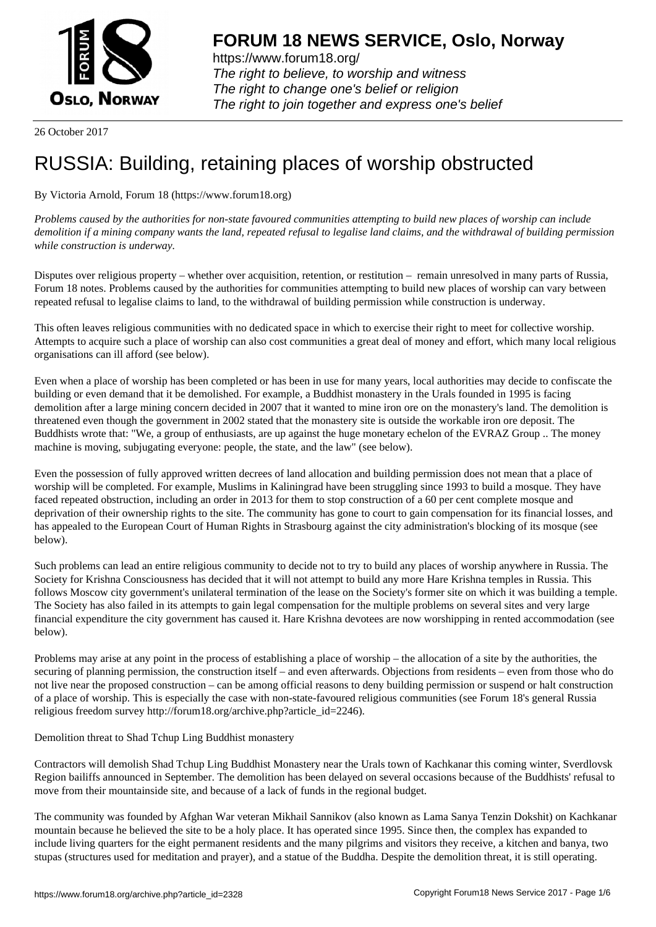

https://www.forum18.org/ The right to believe, to worship and witness The right to change one's belief or religion [The right to join together a](https://www.forum18.org/)nd express one's belief

26 October 2017

# [RUSSIA: Buildin](https://www.forum18.org)g, retaining places of worship obstructed

## By Victoria Arnold, Forum 18 (https://www.forum18.org)

*Problems caused by the authorities for non-state favoured communities attempting to build new places of worship can include demolition if a mining company wants the land, repeated refusal to legalise land claims, and the withdrawal of building permission while construction is underway.*

Disputes over religious property – whether over acquisition, retention, or restitution – remain unresolved in many parts of Russia, Forum 18 notes. Problems caused by the authorities for communities attempting to build new places of worship can vary between repeated refusal to legalise claims to land, to the withdrawal of building permission while construction is underway.

This often leaves religious communities with no dedicated space in which to exercise their right to meet for collective worship. Attempts to acquire such a place of worship can also cost communities a great deal of money and effort, which many local religious organisations can ill afford (see below).

Even when a place of worship has been completed or has been in use for many years, local authorities may decide to confiscate the building or even demand that it be demolished. For example, a Buddhist monastery in the Urals founded in 1995 is facing demolition after a large mining concern decided in 2007 that it wanted to mine iron ore on the monastery's land. The demolition is threatened even though the government in 2002 stated that the monastery site is outside the workable iron ore deposit. The Buddhists wrote that: "We, a group of enthusiasts, are up against the huge monetary echelon of the EVRAZ Group .. The money machine is moving, subjugating everyone: people, the state, and the law" (see below).

Even the possession of fully approved written decrees of land allocation and building permission does not mean that a place of worship will be completed. For example, Muslims in Kaliningrad have been struggling since 1993 to build a mosque. They have faced repeated obstruction, including an order in 2013 for them to stop construction of a 60 per cent complete mosque and deprivation of their ownership rights to the site. The community has gone to court to gain compensation for its financial losses, and has appealed to the European Court of Human Rights in Strasbourg against the city administration's blocking of its mosque (see below).

Such problems can lead an entire religious community to decide not to try to build any places of worship anywhere in Russia. The Society for Krishna Consciousness has decided that it will not attempt to build any more Hare Krishna temples in Russia. This follows Moscow city government's unilateral termination of the lease on the Society's former site on which it was building a temple. The Society has also failed in its attempts to gain legal compensation for the multiple problems on several sites and very large financial expenditure the city government has caused it. Hare Krishna devotees are now worshipping in rented accommodation (see below).

Problems may arise at any point in the process of establishing a place of worship – the allocation of a site by the authorities, the securing of planning permission, the construction itself – and even afterwards. Objections from residents – even from those who do not live near the proposed construction – can be among official reasons to deny building permission or suspend or halt construction of a place of worship. This is especially the case with non-state-favoured religious communities (see Forum 18's general Russia religious freedom survey http://forum18.org/archive.php?article\_id=2246).

## Demolition threat to Shad Tchup Ling Buddhist monastery

Contractors will demolish Shad Tchup Ling Buddhist Monastery near the Urals town of Kachkanar this coming winter, Sverdlovsk Region bailiffs announced in September. The demolition has been delayed on several occasions because of the Buddhists' refusal to move from their mountainside site, and because of a lack of funds in the regional budget.

The community was founded by Afghan War veteran Mikhail Sannikov (also known as Lama Sanya Tenzin Dokshit) on Kachkanar mountain because he believed the site to be a holy place. It has operated since 1995. Since then, the complex has expanded to include living quarters for the eight permanent residents and the many pilgrims and visitors they receive, a kitchen and banya, two stupas (structures used for meditation and prayer), and a statue of the Buddha. Despite the demolition threat, it is still operating.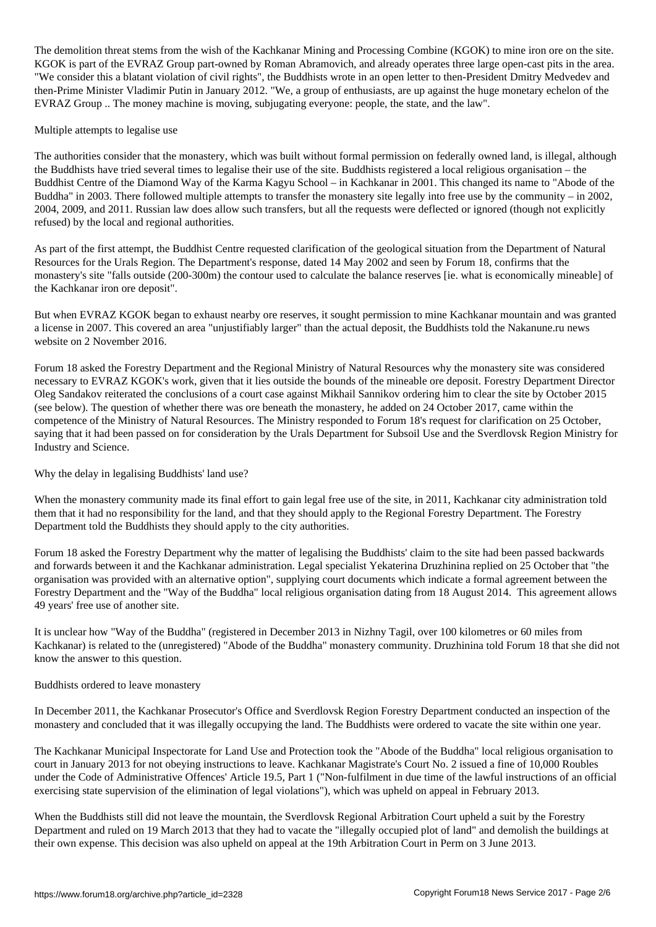The demonstration threat stems from the Kachkanar Mining and  $\Gamma$ KGOK is part of the EVRAZ Group part-owned by Roman Abramovich, and already operates three large open-cast pits in the area. "We consider this a blatant violation of civil rights", the Buddhists wrote in an open letter to then-President Dmitry Medvedev and then-Prime Minister Vladimir Putin in January 2012. "We, a group of enthusiasts, are up against the huge monetary echelon of the EVRAZ Group .. The money machine is moving, subjugating everyone: people, the state, and the law".

## Multiple attempts to legalise use

The authorities consider that the monastery, which was built without formal permission on federally owned land, is illegal, although the Buddhists have tried several times to legalise their use of the site. Buddhists registered a local religious organisation – the Buddhist Centre of the Diamond Way of the Karma Kagyu School – in Kachkanar in 2001. This changed its name to "Abode of the Buddha" in 2003. There followed multiple attempts to transfer the monastery site legally into free use by the community – in 2002, 2004, 2009, and 2011. Russian law does allow such transfers, but all the requests were deflected or ignored (though not explicitly refused) by the local and regional authorities.

As part of the first attempt, the Buddhist Centre requested clarification of the geological situation from the Department of Natural Resources for the Urals Region. The Department's response, dated 14 May 2002 and seen by Forum 18, confirms that the monastery's site "falls outside (200-300m) the contour used to calculate the balance reserves [ie. what is economically mineable] of the Kachkanar iron ore deposit".

But when EVRAZ KGOK began to exhaust nearby ore reserves, it sought permission to mine Kachkanar mountain and was granted a license in 2007. This covered an area "unjustifiably larger" than the actual deposit, the Buddhists told the Nakanune.ru news website on 2 November 2016.

Forum 18 asked the Forestry Department and the Regional Ministry of Natural Resources why the monastery site was considered necessary to EVRAZ KGOK's work, given that it lies outside the bounds of the mineable ore deposit. Forestry Department Director Oleg Sandakov reiterated the conclusions of a court case against Mikhail Sannikov ordering him to clear the site by October 2015 (see below). The question of whether there was ore beneath the monastery, he added on 24 October 2017, came within the competence of the Ministry of Natural Resources. The Ministry responded to Forum 18's request for clarification on 25 October, saying that it had been passed on for consideration by the Urals Department for Subsoil Use and the Sverdlovsk Region Ministry for Industry and Science.

Why the delay in legalising Buddhists' land use?

When the monastery community made its final effort to gain legal free use of the site, in 2011, Kachkanar city administration told them that it had no responsibility for the land, and that they should apply to the Regional Forestry Department. The Forestry Department told the Buddhists they should apply to the city authorities.

Forum 18 asked the Forestry Department why the matter of legalising the Buddhists' claim to the site had been passed backwards and forwards between it and the Kachkanar administration. Legal specialist Yekaterina Druzhinina replied on 25 October that "the organisation was provided with an alternative option", supplying court documents which indicate a formal agreement between the Forestry Department and the "Way of the Buddha" local religious organisation dating from 18 August 2014. This agreement allows 49 years' free use of another site.

It is unclear how "Way of the Buddha" (registered in December 2013 in Nizhny Tagil, over 100 kilometres or 60 miles from Kachkanar) is related to the (unregistered) "Abode of the Buddha" monastery community. Druzhinina told Forum 18 that she did not know the answer to this question.

## Buddhists ordered to leave monastery

In December 2011, the Kachkanar Prosecutor's Office and Sverdlovsk Region Forestry Department conducted an inspection of the monastery and concluded that it was illegally occupying the land. The Buddhists were ordered to vacate the site within one year.

The Kachkanar Municipal Inspectorate for Land Use and Protection took the "Abode of the Buddha" local religious organisation to court in January 2013 for not obeying instructions to leave. Kachkanar Magistrate's Court No. 2 issued a fine of 10,000 Roubles under the Code of Administrative Offences' Article 19.5, Part 1 ("Non-fulfilment in due time of the lawful instructions of an official exercising state supervision of the elimination of legal violations"), which was upheld on appeal in February 2013.

When the Buddhists still did not leave the mountain, the Sverdlovsk Regional Arbitration Court upheld a suit by the Forestry Department and ruled on 19 March 2013 that they had to vacate the "illegally occupied plot of land" and demolish the buildings at their own expense. This decision was also upheld on appeal at the 19th Arbitration Court in Perm on 3 June 2013.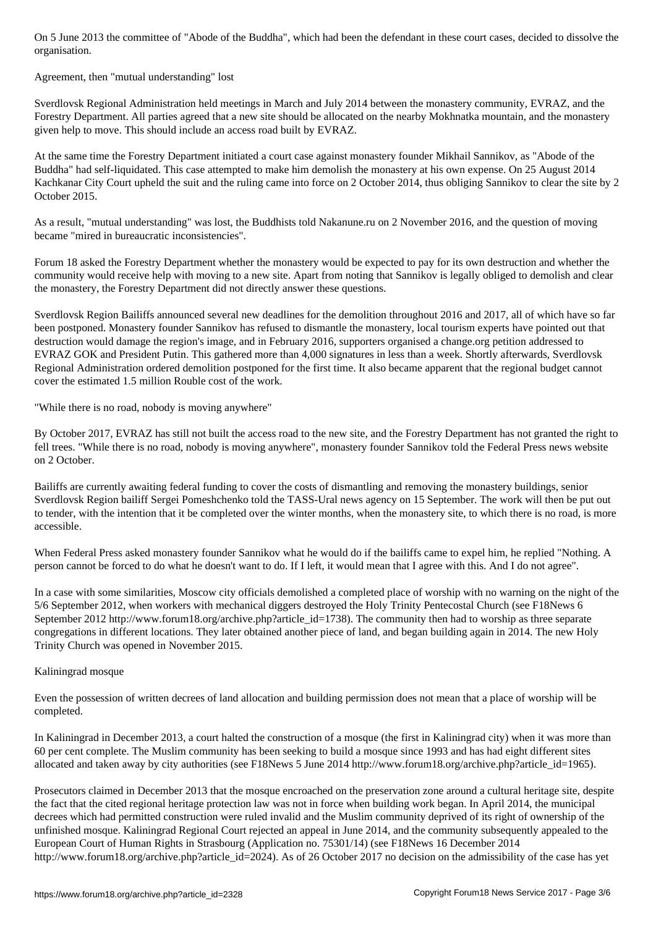Agreement, then "mutual understanding" lost

organisation.

Sverdlovsk Regional Administration held meetings in March and July 2014 between the monastery community, EVRAZ, and the Forestry Department. All parties agreed that a new site should be allocated on the nearby Mokhnatka mountain, and the monastery given help to move. This should include an access road built by EVRAZ.

At the same time the Forestry Department initiated a court case against monastery founder Mikhail Sannikov, as "Abode of the Buddha" had self-liquidated. This case attempted to make him demolish the monastery at his own expense. On 25 August 2014 Kachkanar City Court upheld the suit and the ruling came into force on 2 October 2014, thus obliging Sannikov to clear the site by 2 October 2015.

As a result, "mutual understanding" was lost, the Buddhists told Nakanune.ru on 2 November 2016, and the question of moving became "mired in bureaucratic inconsistencies".

Forum 18 asked the Forestry Department whether the monastery would be expected to pay for its own destruction and whether the community would receive help with moving to a new site. Apart from noting that Sannikov is legally obliged to demolish and clear the monastery, the Forestry Department did not directly answer these questions.

Sverdlovsk Region Bailiffs announced several new deadlines for the demolition throughout 2016 and 2017, all of which have so far been postponed. Monastery founder Sannikov has refused to dismantle the monastery, local tourism experts have pointed out that destruction would damage the region's image, and in February 2016, supporters organised a change.org petition addressed to EVRAZ GOK and President Putin. This gathered more than 4,000 signatures in less than a week. Shortly afterwards, Sverdlovsk Regional Administration ordered demolition postponed for the first time. It also became apparent that the regional budget cannot cover the estimated 1.5 million Rouble cost of the work.

"While there is no road, nobody is moving anywhere"

By October 2017, EVRAZ has still not built the access road to the new site, and the Forestry Department has not granted the right to fell trees. "While there is no road, nobody is moving anywhere", monastery founder Sannikov told the Federal Press news website on 2 October.

Bailiffs are currently awaiting federal funding to cover the costs of dismantling and removing the monastery buildings, senior Sverdlovsk Region bailiff Sergei Pomeshchenko told the TASS-Ural news agency on 15 September. The work will then be put out to tender, with the intention that it be completed over the winter months, when the monastery site, to which there is no road, is more accessible.

When Federal Press asked monastery founder Sannikov what he would do if the bailiffs came to expel him, he replied "Nothing. A person cannot be forced to do what he doesn't want to do. If I left, it would mean that I agree with this. And I do not agree".

In a case with some similarities, Moscow city officials demolished a completed place of worship with no warning on the night of the 5/6 September 2012, when workers with mechanical diggers destroyed the Holy Trinity Pentecostal Church (see F18News 6 September 2012 http://www.forum18.org/archive.php?article\_id=1738). The community then had to worship as three separate congregations in different locations. They later obtained another piece of land, and began building again in 2014. The new Holy Trinity Church was opened in November 2015.

## Kaliningrad mosque

Even the possession of written decrees of land allocation and building permission does not mean that a place of worship will be completed.

In Kaliningrad in December 2013, a court halted the construction of a mosque (the first in Kaliningrad city) when it was more than 60 per cent complete. The Muslim community has been seeking to build a mosque since 1993 and has had eight different sites allocated and taken away by city authorities (see F18News 5 June 2014 http://www.forum18.org/archive.php?article\_id=1965).

Prosecutors claimed in December 2013 that the mosque encroached on the preservation zone around a cultural heritage site, despite the fact that the cited regional heritage protection law was not in force when building work began. In April 2014, the municipal decrees which had permitted construction were ruled invalid and the Muslim community deprived of its right of ownership of the unfinished mosque. Kaliningrad Regional Court rejected an appeal in June 2014, and the community subsequently appealed to the European Court of Human Rights in Strasbourg (Application no. 75301/14) (see F18News 16 December 2014 http://www.forum18.org/archive.php?article\_id=2024). As of 26 October 2017 no decision on the admissibility of the case has yet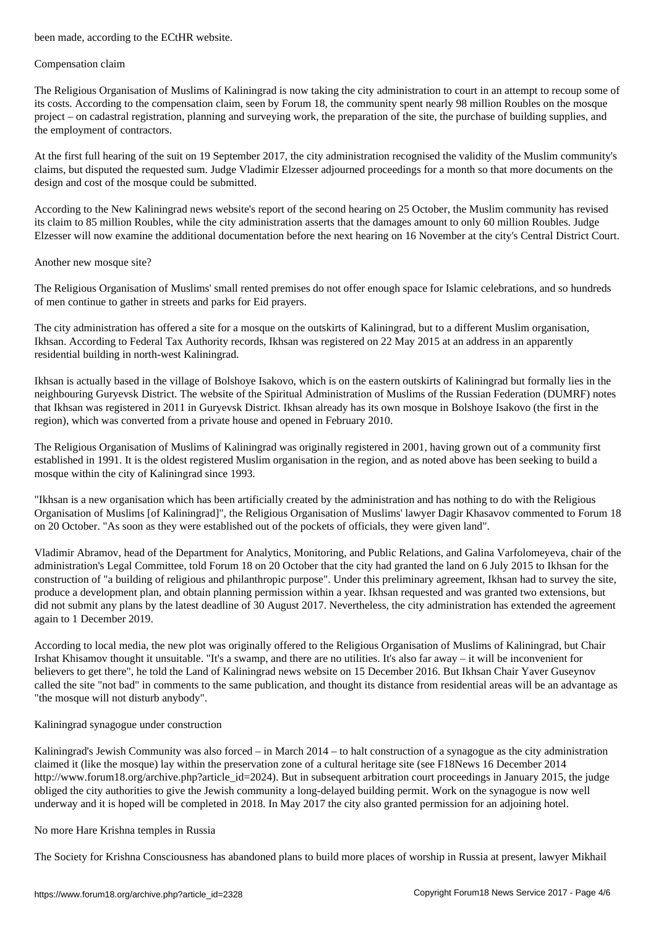#### Compensation claim

The Religious Organisation of Muslims of Kaliningrad is now taking the city administration to court in an attempt to recoup some of its costs. According to the compensation claim, seen by Forum 18, the community spent nearly 98 million Roubles on the mosque project – on cadastral registration, planning and surveying work, the preparation of the site, the purchase of building supplies, and the employment of contractors.

At the first full hearing of the suit on 19 September 2017, the city administration recognised the validity of the Muslim community's claims, but disputed the requested sum. Judge Vladimir Elzesser adjourned proceedings for a month so that more documents on the design and cost of the mosque could be submitted.

According to the New Kaliningrad news website's report of the second hearing on 25 October, the Muslim community has revised its claim to 85 million Roubles, while the city administration asserts that the damages amount to only 60 million Roubles. Judge Elzesser will now examine the additional documentation before the next hearing on 16 November at the city's Central District Court.

## Another new mosque site?

The Religious Organisation of Muslims' small rented premises do not offer enough space for Islamic celebrations, and so hundreds of men continue to gather in streets and parks for Eid prayers.

The city administration has offered a site for a mosque on the outskirts of Kaliningrad, but to a different Muslim organisation, Ikhsan. According to Federal Tax Authority records, Ikhsan was registered on 22 May 2015 at an address in an apparently residential building in north-west Kaliningrad.

Ikhsan is actually based in the village of Bolshoye Isakovo, which is on the eastern outskirts of Kaliningrad but formally lies in the neighbouring Guryevsk District. The website of the Spiritual Administration of Muslims of the Russian Federation (DUMRF) notes that Ikhsan was registered in 2011 in Guryevsk District. Ikhsan already has its own mosque in Bolshoye Isakovo (the first in the region), which was converted from a private house and opened in February 2010.

The Religious Organisation of Muslims of Kaliningrad was originally registered in 2001, having grown out of a community first established in 1991. It is the oldest registered Muslim organisation in the region, and as noted above has been seeking to build a mosque within the city of Kaliningrad since 1993.

"Ikhsan is a new organisation which has been artificially created by the administration and has nothing to do with the Religious Organisation of Muslims [of Kaliningrad]", the Religious Organisation of Muslims' lawyer Dagir Khasavov commented to Forum 18 on 20 October. "As soon as they were established out of the pockets of officials, they were given land".

Vladimir Abramov, head of the Department for Analytics, Monitoring, and Public Relations, and Galina Varfolomeyeva, chair of the administration's Legal Committee, told Forum 18 on 20 October that the city had granted the land on 6 July 2015 to Ikhsan for the construction of "a building of religious and philanthropic purpose". Under this preliminary agreement, Ikhsan had to survey the site, produce a development plan, and obtain planning permission within a year. Ikhsan requested and was granted two extensions, but did not submit any plans by the latest deadline of 30 August 2017. Nevertheless, the city administration has extended the agreement again to 1 December 2019.

According to local media, the new plot was originally offered to the Religious Organisation of Muslims of Kaliningrad, but Chair Irshat Khisamov thought it unsuitable. "It's a swamp, and there are no utilities. It's also far away – it will be inconvenient for believers to get there", he told the Land of Kaliningrad news website on 15 December 2016. But Ikhsan Chair Yaver Guseynov called the site "not bad" in comments to the same publication, and thought its distance from residential areas will be an advantage as "the mosque will not disturb anybody".

## Kaliningrad synagogue under construction

Kaliningrad's Jewish Community was also forced – in March 2014 – to halt construction of a synagogue as the city administration claimed it (like the mosque) lay within the preservation zone of a cultural heritage site (see F18News 16 December 2014 http://www.forum18.org/archive.php?article\_id=2024). But in subsequent arbitration court proceedings in January 2015, the judge obliged the city authorities to give the Jewish community a long-delayed building permit. Work on the synagogue is now well underway and it is hoped will be completed in 2018. In May 2017 the city also granted permission for an adjoining hotel.

## No more Hare Krishna temples in Russia

The Society for Krishna Consciousness has abandoned plans to build more places of worship in Russia at present, lawyer Mikhail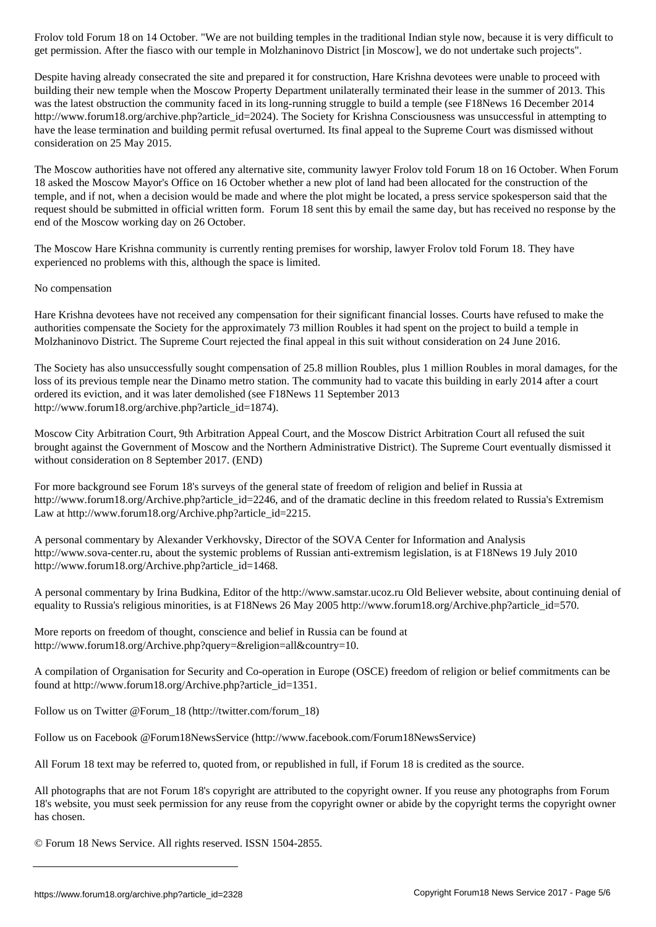get permission. After the fiasco with our temple in Molzhaninovo District [in Moscow], we do not undertake such projects". Despite having already consecrated the site and prepared it for construction, Hare Krishna devotees were unable to proceed with building their new temple when the Moscow Property Department unilaterally terminated their lease in the summer of 2013. This was the latest obstruction the community faced in its long-running struggle to build a temple (see F18News 16 December 2014 http://www.forum18.org/archive.php?article\_id=2024). The Society for Krishna Consciousness was unsuccessful in attempting to have the lease termination and building permit refusal overturned. Its final appeal to the Supreme Court was dismissed without consideration on 25 May 2015.

The Moscow authorities have not offered any alternative site, community lawyer Frolov told Forum 18 on 16 October. When Forum 18 asked the Moscow Mayor's Office on 16 October whether a new plot of land had been allocated for the construction of the temple, and if not, when a decision would be made and where the plot might be located, a press service spokesperson said that the request should be submitted in official written form. Forum 18 sent this by email the same day, but has received no response by the end of the Moscow working day on 26 October.

The Moscow Hare Krishna community is currently renting premises for worship, lawyer Frolov told Forum 18. They have experienced no problems with this, although the space is limited.

## No compensation

Hare Krishna devotees have not received any compensation for their significant financial losses. Courts have refused to make the authorities compensate the Society for the approximately 73 million Roubles it had spent on the project to build a temple in Molzhaninovo District. The Supreme Court rejected the final appeal in this suit without consideration on 24 June 2016.

The Society has also unsuccessfully sought compensation of 25.8 million Roubles, plus 1 million Roubles in moral damages, for the loss of its previous temple near the Dinamo metro station. The community had to vacate this building in early 2014 after a court ordered its eviction, and it was later demolished (see F18News 11 September 2013 http://www.forum18.org/archive.php?article\_id=1874).

Moscow City Arbitration Court, 9th Arbitration Appeal Court, and the Moscow District Arbitration Court all refused the suit brought against the Government of Moscow and the Northern Administrative District). The Supreme Court eventually dismissed it without consideration on 8 September 2017. (END)

For more background see Forum 18's surveys of the general state of freedom of religion and belief in Russia at http://www.forum18.org/Archive.php?article\_id=2246, and of the dramatic decline in this freedom related to Russia's Extremism Law at http://www.forum18.org/Archive.php?article\_id=2215.

A personal commentary by Alexander Verkhovsky, Director of the SOVA Center for Information and Analysis http://www.sova-center.ru, about the systemic problems of Russian anti-extremism legislation, is at F18News 19 July 2010 http://www.forum18.org/Archive.php?article\_id=1468.

A personal commentary by Irina Budkina, Editor of the http://www.samstar.ucoz.ru Old Believer website, about continuing denial of equality to Russia's religious minorities, is at F18News 26 May 2005 http://www.forum18.org/Archive.php?article\_id=570.

More reports on freedom of thought, conscience and belief in Russia can be found at http://www.forum18.org/Archive.php?query=&religion=all&country=10.

A compilation of Organisation for Security and Co-operation in Europe (OSCE) freedom of religion or belief commitments can be found at http://www.forum18.org/Archive.php?article\_id=1351.

Follow us on Twitter @Forum\_18 (http://twitter.com/forum\_18)

Follow us on Facebook @Forum18NewsService (http://www.facebook.com/Forum18NewsService)

All Forum 18 text may be referred to, quoted from, or republished in full, if Forum 18 is credited as the source.

All photographs that are not Forum 18's copyright are attributed to the copyright owner. If you reuse any photographs from Forum 18's website, you must seek permission for any reuse from the copyright owner or abide by the copyright terms the copyright owner has chosen.

© Forum 18 News Service. All rights reserved. ISSN 1504-2855.